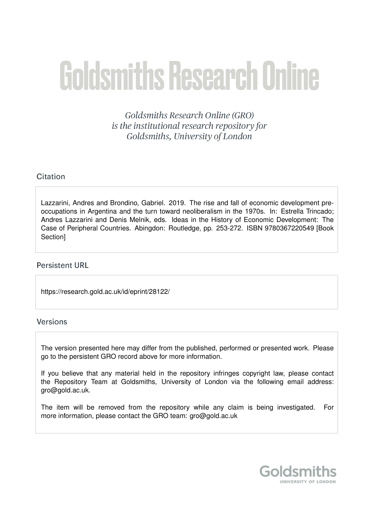# Goldsmiths Research Online

Goldsmiths Research Online (GRO) is the institutional research repository for Goldsmiths, University of London

#### Citation

Lazzarini, Andres and Brondino, Gabriel. 2019. The rise and fall of economic development preoccupations in Argentina and the turn toward neoliberalism in the 1970s. In: Estrella Trincado; Andres Lazzarini and Denis Melnik, eds. Ideas in the History of Economic Development: The Case of Peripheral Countries. Abingdon: Routledge, pp. 253-272. ISBN 9780367220549 [Book Section]

#### **Persistent URL**

https://research.gold.ac.uk/id/eprint/28122/

#### **Versions**

The version presented here may differ from the published, performed or presented work. Please go to the persistent GRO record above for more information.

If you believe that any material held in the repository infringes copyright law, please contact the Repository Team at Goldsmiths, University of London via the following email address: gro@gold.ac.uk.

The item will be removed from the repository while any claim is being investigated. For more information, please contact the GRO team: gro@gold.ac.uk

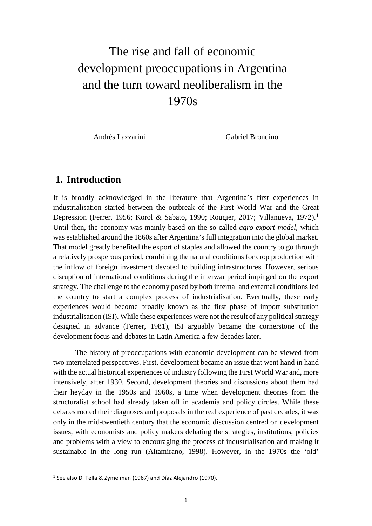## The rise and fall of economic development preoccupations in Argentina and the turn toward neoliberalism in the 1970s

Andrés Lazzarini Gabriel Brondino

### **1. Introduction**

It is broadly acknowledged in the literature that Argentina's first experiences in industrialisation started between the outbreak of the First World War and the Great Depression (Ferrer, [1](#page-1-0)956; Korol & Sabato, 1990; Rougier, 2017; Villanueva, 1972).<sup>1</sup> Until then, the economy was mainly based on the so-called *agro-export model*, which was established around the 1860s after Argentina's full integration into the global market. That model greatly benefited the export of staples and allowed the country to go through a relatively prosperous period, combining the natural conditions for crop production with the inflow of foreign investment devoted to building infrastructures. However, serious disruption of international conditions during the interwar period impinged on the export strategy. The challenge to the economy posed by both internal and external conditions led the country to start a complex process of industrialisation. Eventually, these early experiences would become broadly known as the first phase of import substitution industrialisation (ISI). While these experiences were not the result of any political strategy designed in advance (Ferrer, 1981), ISI arguably became the cornerstone of the development focus and debates in Latin America a few decades later.

The history of preoccupations with economic development can be viewed from two interrelated perspectives. First, development became an issue that went hand in hand with the actual historical experiences of industry following the First World War and, more intensively, after 1930. Second, development theories and discussions about them had their heyday in the 1950s and 1960s, a time when development theories from the structuralist school had already taken off in academia and policy circles. While these debates rooted their diagnoses and proposals in the real experience of past decades, it was only in the mid-twentieth century that the economic discussion centred on development issues, with economists and policy makers debating the strategies, institutions, policies and problems with a view to encouraging the process of industrialisation and making it sustainable in the long run (Altamirano, 1998). However, in the 1970s the 'old'

<u>.</u>

<span id="page-1-0"></span><sup>1</sup> See also Di Tella & Zymelman (1967) and Díaz Alejandro (1970).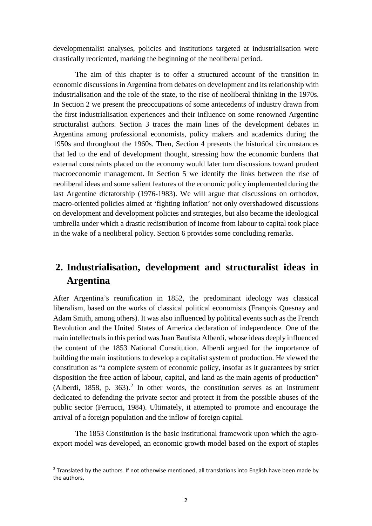developmentalist analyses, policies and institutions targeted at industrialisation were drastically reoriented, marking the beginning of the neoliberal period.

The aim of this chapter is to offer a structured account of the transition in economic discussions in Argentina from debates on development and its relationship with industrialisation and the role of the state, to the rise of neoliberal thinking in the 1970s. In Section 2 we present the preoccupations of some antecedents of industry drawn from the first industrialisation experiences and their influence on some renowned Argentine structuralist authors. Section 3 traces the main lines of the development debates in Argentina among professional economists, policy makers and academics during the 1950s and throughout the 1960s. Then, Section 4 presents the historical circumstances that led to the end of development thought, stressing how the economic burdens that external constraints placed on the economy would later turn discussions toward prudent macroeconomic management. In Section 5 we identify the links between the rise of neoliberal ideas and some salient features of the economic policy implemented during the last Argentine dictatorship (1976-1983). We will argue that discussions on orthodox, macro-oriented policies aimed at 'fighting inflation' not only overshadowed discussions on development and development policies and strategies, but also became the ideological umbrella under which a drastic redistribution of income from labour to capital took place in the wake of a neoliberal policy. Section 6 provides some concluding remarks.

## **2. Industrialisation, development and structuralist ideas in Argentina**

After Argentina's reunification in 1852, the predominant ideology was classical liberalism, based on the works of classical political economists (François Quesnay and Adam Smith, among others). It was also influenced by political events such as the French Revolution and the United States of America declaration of independence. One of the main intellectuals in this period was Juan Bautista Alberdi, whose ideas deeply influenced the content of the 1853 National Constitution. Alberdi argued for the importance of building the main institutions to develop a capitalist system of production. He viewed the constitution as "a complete system of economic policy, insofar as it guarantees by strict disposition the free action of labour, capital, and land as the main agents of production" (Alberdi, 1858, p. 363). [2](#page-2-0) In other words, the constitution serves as an instrument dedicated to defending the private sector and protect it from the possible abuses of the public sector (Ferrucci, 1984). Ultimately, it attempted to promote and encourage the arrival of a foreign population and the inflow of foreign capital.

The 1853 Constitution is the basic institutional framework upon which the agroexport model was developed, an economic growth model based on the export of staples

 $\overline{a}$ 

<span id="page-2-0"></span><sup>&</sup>lt;sup>2</sup> Translated by the authors. If not otherwise mentioned, all translations into English have been made by the authors,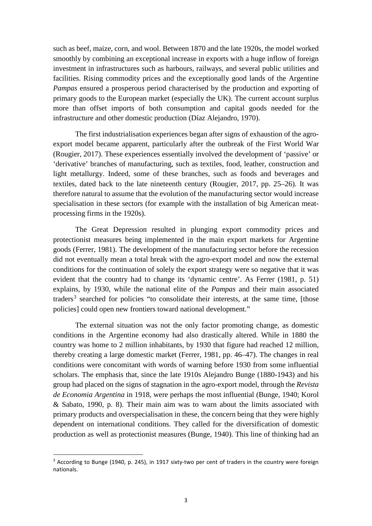such as beef, maize, corn, and wool. Between 1870 and the late 1920s, the model worked smoothly by combining an exceptional increase in exports with a huge inflow of foreign investment in infrastructures such as harbours, railways, and several public utilities and facilities. Rising commodity prices and the exceptionally good lands of the Argentine *Pampas* ensured a prosperous period characterised by the production and exporting of primary goods to the European market (especially the UK). The current account surplus more than offset imports of both consumption and capital goods needed for the infrastructure and other domestic production (Díaz Alejandro, 1970).

The first industrialisation experiences began after signs of exhaustion of the agroexport model became apparent, particularly after the outbreak of the First World War (Rougier, 2017). These experiences essentially involved the development of 'passive' or 'derivative' branches of manufacturing, such as textiles, food, leather, construction and light metallurgy. Indeed, some of these branches, such as foods and beverages and textiles, dated back to the late nineteenth century (Rougier, 2017, pp. 25–26). It was therefore natural to assume that the evolution of the manufacturing sector would increase specialisation in these sectors (for example with the installation of big American meatprocessing firms in the 1920s).

The Great Depression resulted in plunging export commodity prices and protectionist measures being implemented in the main export markets for Argentine goods (Ferrer, 1981). The development of the manufacturing sector before the recession did not eventually mean a total break with the agro-export model and now the external conditions for the continuation of solely the export strategy were so negative that it was evident that the country had to change its 'dynamic centre'. As Ferrer (1981, p. 51) explains, by 1930, while the national elite of the *Pampas* and their main associated traders<sup>[3](#page-3-0)</sup> searched for policies "to consolidate their interests, at the same time, [those policies] could open new frontiers toward national development."

The external situation was not the only factor promoting change, as domestic conditions in the Argentine economy had also drastically altered. While in 1880 the country was home to 2 million inhabitants, by 1930 that figure had reached 12 million, thereby creating a large domestic market (Ferrer, 1981, pp. 46–47). The changes in real conditions were concomitant with words of warning before 1930 from some influential scholars. The emphasis that, since the late 1910s Alejandro Bunge (1880-1943) and his group had placed on the signs of stagnation in the agro-export model, through the *Revista de Economia Argentina* in 1918, were perhaps the most influential (Bunge, 1940; Korol & Sabato, 1990, p. 8). Their main aim was to warn about the limits associated with primary products and overspecialisation in these, the concern being that they were highly dependent on international conditions. They called for the diversification of domestic production as well as protectionist measures (Bunge, 1940). This line of thinking had an

<span id="page-3-0"></span><sup>&</sup>lt;sup>3</sup> According to Bunge (1940, p. 245), in 1917 sixty-two per cent of traders in the country were foreign nationals.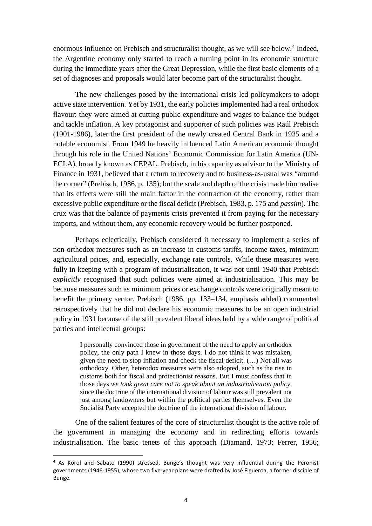enormous influence on Prebisch and structuralist thought, as we will see below. [4](#page-4-0) Indeed, the Argentine economy only started to reach a turning point in its economic structure during the immediate years after the Great Depression, while the first basic elements of a set of diagnoses and proposals would later become part of the structuralist thought.

The new challenges posed by the international crisis led policymakers to adopt active state intervention. Yet by 1931, the early policies implemented had a real orthodox flavour: they were aimed at cutting public expenditure and wages to balance the budget and tackle inflation. A key protagonist and supporter of such policies was Raúl Prebisch (1901-1986), later the first president of the newly created Central Bank in 1935 and a notable economist. From 1949 he heavily influenced Latin American economic thought through his role in the United Nations' Economic Commission for Latin America (UN-ECLA), broadly known as CEPAL. Prebisch, in his capacity as advisor to the Ministry of Finance in 1931, believed that a return to recovery and to business-as-usual was "around the corner" (Prebisch, 1986, p. 135); but the scale and depth of the crisis made him realise that its effects were still the main factor in the contraction of the economy, rather than excessive public expenditure or the fiscal deficit (Prebisch, 1983, p. 175 and *passim*). The crux was that the balance of payments crisis prevented it from paying for the necessary imports, and without them, any economic recovery would be further postponed.

Perhaps eclectically, Prebisch considered it necessary to implement a series of non-orthodox measures such as an increase in customs tariffs, income taxes, minimum agricultural prices, and, especially, exchange rate controls. While these measures were fully in keeping with a program of industrialisation, it was not until 1940 that Prebisch *explicitly* recognised that such policies were aimed at industrialisation. This may be because measures such as minimum prices or exchange controls were originally meant to benefit the primary sector. Prebisch (1986, pp. 133–134, emphasis added) commented retrospectively that he did not declare his economic measures to be an open industrial policy in 1931 because of the still prevalent liberal ideas held by a wide range of political parties and intellectual groups:

I personally convinced those in government of the need to apply an orthodox policy, the only path I knew in those days. I do not think it was mistaken, given the need to stop inflation and check the fiscal deficit. (…) Not all was orthodoxy. Other, heterodox measures were also adopted, such as the rise in customs both for fiscal and protectionist reasons. But I must confess that in those days *we took great care not to speak about an industrialisation policy*, since the doctrine of the international division of labour was still prevalent not just among landowners but within the political parties themselves. Even the Socialist Party accepted the doctrine of the international division of labour.

One of the salient features of the core of structuralist thought is the active role of the government in managing the economy and in redirecting efforts towards industrialisation. The basic tenets of this approach (Diamand, 1973; Ferrer, 1956;

<span id="page-4-0"></span><sup>4</sup> As Korol and Sabato (1990) stressed, Bunge's thought was very influential during the Peronist governments (1946-1955), whose two five-year plans were drafted by José Figueroa, a former disciple of Bunge.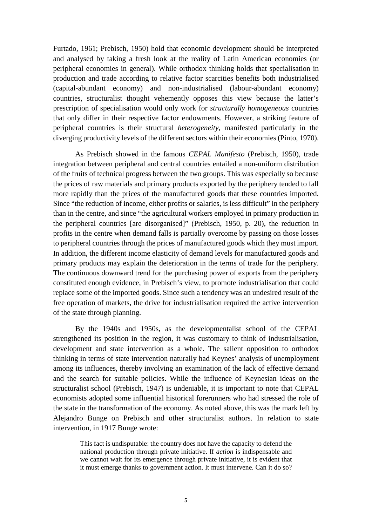Furtado, 1961; Prebisch, 1950) hold that economic development should be interpreted and analysed by taking a fresh look at the reality of Latin American economies (or peripheral economies in general). While orthodox thinking holds that specialisation in production and trade according to relative factor scarcities benefits both industrialised (capital-abundant economy) and non-industrialised (labour-abundant economy) countries, structuralist thought vehemently opposes this view because the latter's prescription of specialisation would only work for *structurally homogeneous* countries that only differ in their respective factor endowments. However, a striking feature of peripheral countries is their structural *heterogeneity*, manifested particularly in the diverging productivity levels of the different sectors within their economies (Pinto, 1970).

As Prebisch showed in the famous *CEPAL Manifesto* (Prebisch, 1950), trade integration between peripheral and central countries entailed a non-uniform distribution of the fruits of technical progress between the two groups. This was especially so because the prices of raw materials and primary products exported by the periphery tended to fall more rapidly than the prices of the manufactured goods that these countries imported. Since "the reduction of income, either profits or salaries, is less difficult" in the periphery than in the centre, and since "the agricultural workers employed in primary production in the peripheral countries [are disorganised]" (Prebisch, 1950, p. 20), the reduction in profits in the centre when demand falls is partially overcome by passing on those losses to peripheral countries through the prices of manufactured goods which they must import. In addition, the different income elasticity of demand levels for manufactured goods and primary products may explain the deterioration in the terms of trade for the periphery. The continuous downward trend for the purchasing power of exports from the periphery constituted enough evidence, in Prebisch's view, to promote industrialisation that could replace some of the imported goods. Since such a tendency was an undesired result of the free operation of markets, the drive for industrialisation required the active intervention of the state through planning.

By the 1940s and 1950s, as the developmentalist school of the CEPAL strengthened its position in the region, it was customary to think of industrialisation, development and state intervention as a whole. The salient opposition to orthodox thinking in terms of state intervention naturally had Keynes' analysis of unemployment among its influences, thereby involving an examination of the lack of effective demand and the search for suitable policies. While the influence of Keynesian ideas on the structuralist school (Prebisch, 1947) is undeniable, it is important to note that CEPAL economists adopted some influential historical forerunners who had stressed the role of the state in the transformation of the economy. As noted above, this was the mark left by Alejandro Bunge on Prebisch and other structuralist authors. In relation to state intervention, in 1917 Bunge wrote:

This fact is undisputable: the country does not have the capacity to defend the national production through private initiative. If *action* is indispensable and we cannot wait for its emergence through private initiative, it is evident that it must emerge thanks to government action. It must intervene. Can it do so?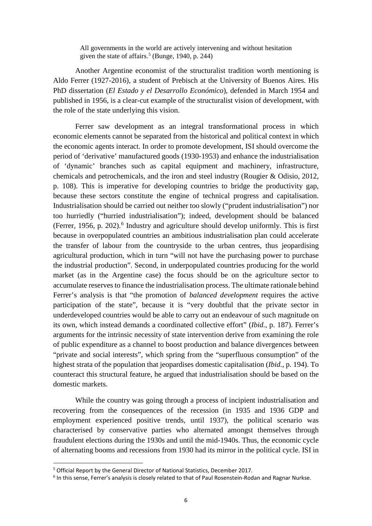All governments in the world are actively intervening and without hesitation given the state of affairs.<sup>[5](#page-6-0)</sup> (Bunge, 1940, p. 244)

Another Argentine economist of the structuralist tradition worth mentioning is Aldo Ferrer (1927-2016), a student of Prebisch at the University of Buenos Aires. His PhD dissertation (*El Estado y el Desarrollo Económico*), defended in March 1954 and published in 1956, is a clear-cut example of the structuralist vision of development, with the role of the state underlying this vision.

Ferrer saw development as an integral transformational process in which economic elements cannot be separated from the historical and political context in which the economic agents interact. In order to promote development, ISI should overcome the period of 'derivative' manufactured goods (1930-1953) and enhance the industrialisation of 'dynamic' branches such as capital equipment and machinery, infrastructure, chemicals and petrochemicals, and the iron and steel industry (Rougier & Odisio, 2012, p. 108). This is imperative for developing countries to bridge the productivity gap, because these sectors constitute the engine of technical progress and capitalisation. Industrialisation should be carried out neither too slowly ("prudent industrialisation") nor too hurriedly ("hurried industrialisation"); indeed, development should be balanced (Ferrer, 1956, p. 202). [6](#page-6-1) Industry and agriculture should develop uniformly. This is first because in overpopulated countries an ambitious industrialisation plan could accelerate the transfer of labour from the countryside to the urban centres, thus jeopardising agricultural production, which in turn "will not have the purchasing power to purchase the industrial production". Second, in underpopulated countries producing for the world market (as in the Argentine case) the focus should be on the agriculture sector to accumulate reserves to finance the industrialisation process. The ultimate rationale behind Ferrer's analysis is that "the promotion of *balanced development* requires the active participation of the state", because it is "very doubtful that the private sector in underdeveloped countries would be able to carry out an endeavour of such magnitude on its own, which instead demands a coordinated collective effort" (*Ibid.*, p. 187). Ferrer's arguments for the intrinsic necessity of state intervention derive from examining the role of public expenditure as a channel to boost production and balance divergences between "private and social interests", which spring from the "superfluous consumption" of the highest strata of the population that jeopardises domestic capitalisation (*Ibid.*, p. 194). To counteract this structural feature, he argued that industrialisation should be based on the domestic markets.

While the country was going through a process of incipient industrialisation and recovering from the consequences of the recession (in 1935 and 1936 GDP and employment experienced positive trends, until 1937), the political scenario was characterised by conservative parties who alternated amongst themselves through fraudulent elections during the 1930s and until the mid-1940s. Thus, the economic cycle of alternating booms and recessions from 1930 had its mirror in the political cycle. ISI in

 $\overline{a}$ 

<span id="page-6-0"></span><sup>5</sup> Official Report by the General Director of National Statistics, December 2017.

<span id="page-6-1"></span> $6$  In this sense, Ferrer's analysis is closely related to that of Paul Rosenstein-Rodan and Ragnar Nurkse.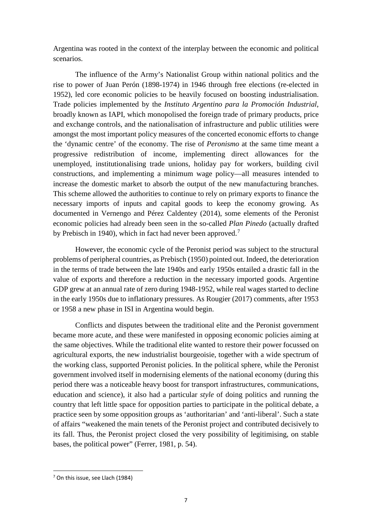Argentina was rooted in the context of the interplay between the economic and political scenarios.

The influence of the Army's Nationalist Group within national politics and the rise to power of Juan Perón (1898-1974) in 1946 through free elections (re-elected in 1952), led core economic policies to be heavily focused on boosting industrialisation. Trade policies implemented by the *Instituto Argentino para la Promoción Industrial*, broadly known as IAPI, which monopolised the foreign trade of primary products, price and exchange controls, and the nationalisation of infrastructure and public utilities were amongst the most important policy measures of the concerted economic efforts to change the 'dynamic centre' of the economy. The rise of *Peronismo* at the same time meant a progressive redistribution of income, implementing direct allowances for the unemployed, institutionalising trade unions, holiday pay for workers, building civil constructions, and implementing a minimum wage policy—all measures intended to increase the domestic market to absorb the output of the new manufacturing branches. This scheme allowed the authorities to continue to rely on primary exports to finance the necessary imports of inputs and capital goods to keep the economy growing. As documented in Vernengo and Pérez Caldentey (2014), some elements of the Peronist economic policies had already been seen in the so-called *Plan Pinedo* (actually drafted by Prebisch in 1940), which in fact had never been approved.<sup>[7](#page-7-0)</sup>

However, the economic cycle of the Peronist period was subject to the structural problems of peripheral countries, as Prebisch (1950) pointed out. Indeed, the deterioration in the terms of trade between the late 1940s and early 1950s entailed a drastic fall in the value of exports and therefore a reduction in the necessary imported goods. Argentine GDP grew at an annual rate of zero during 1948-1952, while real wages started to decline in the early 1950s due to inflationary pressures. As Rougier (2017) comments, after 1953 or 1958 a new phase in ISI in Argentina would begin.

Conflicts and disputes between the traditional elite and the Peronist government became more acute, and these were manifested in opposing economic policies aiming at the same objectives. While the traditional elite wanted to restore their power focussed on agricultural exports, the new industrialist bourgeoisie, together with a wide spectrum of the working class, supported Peronist policies. In the political sphere, while the Peronist government involved itself in modernising elements of the national economy (during this period there was a noticeable heavy boost for transport infrastructures, communications, education and science), it also had a particular *style* of doing politics and running the country that left little space for opposition parties to participate in the political debate, a practice seen by some opposition groups as 'authoritarian' and 'anti-liberal'. Such a state of affairs "weakened the main tenets of the Peronist project and contributed decisively to its fall. Thus, the Peronist project closed the very possibility of legitimising, on stable bases, the political power" (Ferrer, 1981, p. 54).

<u>.</u>

<span id="page-7-0"></span><sup>7</sup> On this issue, see Llach (1984)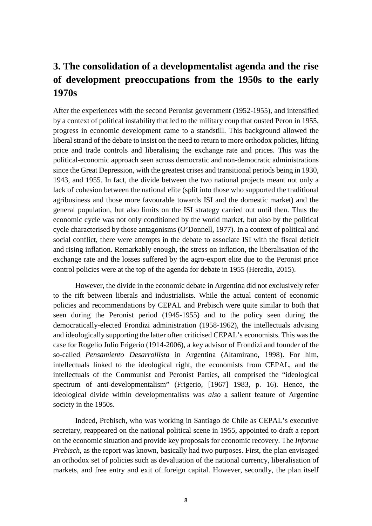## **3. The consolidation of a developmentalist agenda and the rise of development preoccupations from the 1950s to the early 1970s**

After the experiences with the second Peronist government (1952-1955), and intensified by a context of political instability that led to the military coup that ousted Peron in 1955, progress in economic development came to a standstill. This background allowed the liberal strand of the debate to insist on the need to return to more orthodox policies, lifting price and trade controls and liberalising the exchange rate and prices. This was the political-economic approach seen across democratic and non-democratic administrations since the Great Depression, with the greatest crises and transitional periods being in 1930, 1943, and 1955. In fact, the divide between the two national projects meant not only a lack of cohesion between the national elite (split into those who supported the traditional agribusiness and those more favourable towards ISI and the domestic market) and the general population, but also limits on the ISI strategy carried out until then. Thus the economic cycle was not only conditioned by the world market, but also by the political cycle characterised by those antagonisms (O'Donnell, 1977). In a context of political and social conflict, there were attempts in the debate to associate ISI with the fiscal deficit and rising inflation. Remarkably enough, the stress on inflation, the liberalisation of the exchange rate and the losses suffered by the agro-export elite due to the Peronist price control policies were at the top of the agenda for debate in 1955 (Heredia, 2015).

However, the divide in the economic debate in Argentina did not exclusively refer to the rift between liberals and industrialists. While the actual content of economic policies and recommendations by CEPAL and Prebisch were quite similar to both that seen during the Peronist period (1945-1955) and to the policy seen during the democratically-elected Frondizi administration (1958-1962), the intellectuals advising and ideologically supporting the latter often criticised CEPAL's economists. This was the case for Rogelio Julio Frigerio (1914-2006), a key advisor of Frondizi and founder of the so-called *Pensamiento Desarrollista* in Argentina (Altamirano, 1998). For him, intellectuals linked to the ideological right, the economists from CEPAL, and the intellectuals of the Communist and Peronist Parties, all comprised the "ideological spectrum of anti-developmentalism" (Frigerio, [1967] 1983, p. 16). Hence, the ideological divide within developmentalists was *also* a salient feature of Argentine society in the 1950s.

Indeed, Prebisch, who was working in Santiago de Chile as CEPAL's executive secretary, reappeared on the national political scene in 1955, appointed to draft a report on the economic situation and provide key proposals for economic recovery. The *Informe Prebisch*, as the report was known, basically had two purposes. First, the plan envisaged an orthodox set of policies such as devaluation of the national currency, liberalisation of markets, and free entry and exit of foreign capital. However, secondly, the plan itself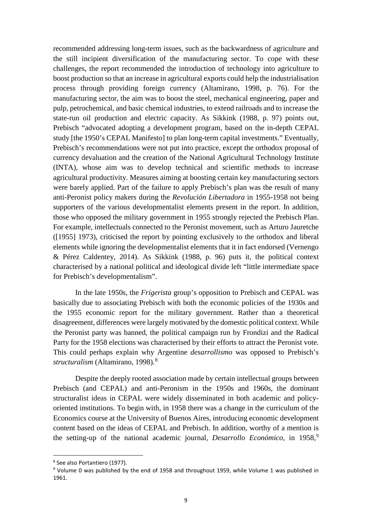recommended addressing long-term issues, such as the backwardness of agriculture and the still incipient diversification of the manufacturing sector. To cope with these challenges, the report recommended the introduction of technology into agriculture to boost production so that an increase in agricultural exports could help the industrialisation process through providing foreign currency (Altamirano, 1998, p. 76). For the manufacturing sector, the aim was to boost the steel, mechanical engineering, paper and pulp, petrochemical, and basic chemical industries, to extend railroads and to increase the state-run oil production and electric capacity. As Sikkink (1988, p. 97) points out, Prebisch "advocated adopting a development program, based on the in-depth CEPAL study [the 1950's CEPAL Manifesto] to plan long-term capital investments." Eventually, Prebisch's recommendations were not put into practice, except the orthodox proposal of currency devaluation and the creation of the National Agricultural Technology Institute (INTA), whose aim was to develop technical and scientific methods to increase agricultural productivity. Measures aiming at boosting certain key manufacturing sectors were barely applied. Part of the failure to apply Prebisch's plan was the result of many anti-Peronist policy makers during the *Revolución Libertadora* in 1955-1958 not being supporters of the various developmentalist elements present in the report. In addition, those who opposed the military government in 1955 strongly rejected the Prebisch Plan. For example, intellectuals connected to the Peronist movement, such as Arturo Jauretche ([1955] 1973), criticised the report by pointing exclusively to the orthodox and liberal elements while ignoring the developmentalist elements that it in fact endorsed (Vernengo & Pérez Caldentey, 2014). As Sikkink (1988, p. 96) puts it, the political context characterised by a national political and ideological divide left "little intermediate space for Prebisch's developmentalism".

In the late 1950s, the *Frigerista* group's opposition to Prebisch and CEPAL was basically due to associating Prebisch with both the economic policies of the 1930s and the 1955 economic report for the military government. Rather than a theoretical disagreement, differences were largely motivated by the domestic political context. While the Peronist party was banned, the political campaign run by Frondizi and the Radical Party for the 1958 elections was characterised by their efforts to attract the Peronist vote. This could perhaps explain why Argentine *desarrollismo* was opposed to Prebisch's *structuralism* (Altamirano, 1998). [8](#page-9-0)

Despite the deeply rooted association made by certain intellectual groups between Prebisch (and CEPAL) and anti-Peronism in the 1950s and 1960s, the dominant structuralist ideas in CEPAL were widely disseminated in both academic and policyoriented institutions. To begin with, in 1958 there was a change in the curriculum of the Economics course at the University of Buenos Aires, introducing economic development content based on the ideas of CEPAL and Prebisch. In addition, worthy of a mention is the setting-up of the national academic journal, *Desarrollo Económico*, in 1[9](#page-9-1)58,<sup>9</sup>

<span id="page-9-0"></span><sup>8</sup> See also Portantiero (1977).

<span id="page-9-1"></span><sup>9</sup> Volume 0 was published by the end of 1958 and throughout 1959, while Volume 1 was published in 1961.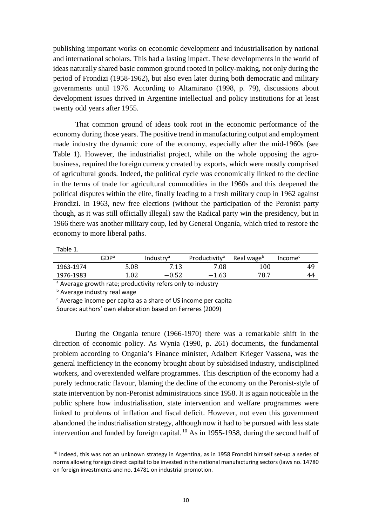publishing important works on economic development and industrialisation by national and international scholars. This had a lasting impact. These developments in the world of ideas naturally shared basic common ground rooted in policy-making, not only during the period of Frondizi (1958-1962), but also even later during both democratic and military governments until 1976. According to Altamirano (1998, p. 79), discussions about development issues thrived in Argentine intellectual and policy institutions for at least twenty odd years after 1955.

That common ground of ideas took root in the economic performance of the economy during those years. The positive trend in manufacturing output and employment made industry the dynamic core of the economy, especially after the mid-1960s (see Table 1). However, the industrialist project, while on the whole opposing the agrobusiness, required the foreign currency created by exports, which were mostly comprised of agricultural goods. Indeed, the political cycle was economically linked to the decline in the terms of trade for agricultural commodities in the 1960s and this deepened the political disputes within the elite, finally leading to a fresh military coup in 1962 against Frondizi. In 1963, new free elections (without the participation of the Peronist party though, as it was still officially illegal) saw the Radical party win the presidency, but in 1966 there was another military coup, led by General Onganía, which tried to restore the economy to more liberal paths.

| abie |
|------|
|------|

<u>.</u>

|           | ${\mathsf G} {\mathsf D} {\mathsf P}^{\mathsf a}$ | Industry <sup>a</sup> | Productivity <sup>a</sup> | Real wage <sup>b</sup> | Income <sup>c</sup> |  |
|-----------|---------------------------------------------------|-----------------------|---------------------------|------------------------|---------------------|--|
| 1963-1974 | 5.08                                              | 7.13                  | 7.08                      | 100                    | 49                  |  |
| 1976-1983 | 1.02                                              | $-0.52$               | $-1.63$                   | 78.7                   | 44                  |  |
|           |                                                   |                       |                           |                        |                     |  |

<sup>a</sup> Average growth rate; productivity refers only to industry

**b** Average industry real wage

<sup>c</sup> Average income per capita as a share of US income per capita

Source: authors' own elaboration based on Ferreres (2009)

During the Ongania tenure (1966-1970) there was a remarkable shift in the direction of economic policy. As Wynia (1990, p. 261) documents, the fundamental problem according to Ongania's Finance minister, Adalbert Krieger Vassena, was the general inefficiency in the economy brought about by subsidised industry, undisciplined workers, and overextended welfare programmes. This description of the economy had a purely technocratic flavour, blaming the decline of the economy on the Peronist-style of state intervention by non-Peronist administrations since 1958. It is again noticeable in the public sphere how industrialisation, state intervention and welfare programmes were linked to problems of inflation and fiscal deficit. However, not even this government abandoned the industrialisation strategy, although now it had to be pursued with less state intervention and funded by foreign capital.<sup>[10](#page-10-0)</sup> As in 1955-1958, during the second half of

<span id="page-10-0"></span> $10$  Indeed, this was not an unknown strategy in Argentina, as in 1958 Frondizi himself set-up a series of norms allowing foreign direct capital to be invested in the national manufacturing sectors (laws no. 14780 on foreign investments and no. 14781 on industrial promotion.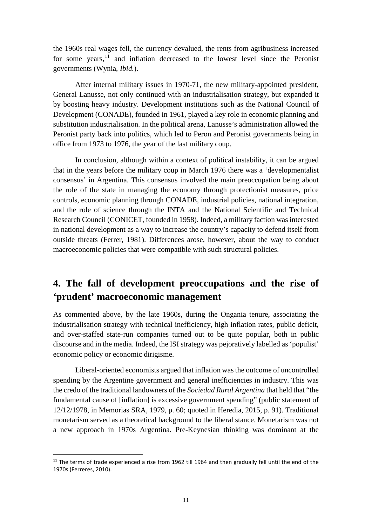the 1960s real wages fell, the currency devalued, the rents from agribusiness increased for some years,  $11$  and inflation decreased to the lowest level since the Peronist governments (Wynia, *Ibid.*).

After internal military issues in 1970-71, the new military-appointed president, General Lanusse, not only continued with an industrialisation strategy, but expanded it by boosting heavy industry. Development institutions such as the National Council of Development (CONADE), founded in 1961, played a key role in economic planning and substitution industrialisation. In the political arena, Lanusse's administration allowed the Peronist party back into politics, which led to Peron and Peronist governments being in office from 1973 to 1976, the year of the last military coup.

In conclusion, although within a context of political instability, it can be argued that in the years before the military coup in March 1976 there was a 'developmentalist consensus' in Argentina. This consensus involved the main preoccupation being about the role of the state in managing the economy through protectionist measures, price controls, economic planning through CONADE, industrial policies, national integration, and the role of science through the INTA and the National Scientific and Technical Research Council (CONICET, founded in 1958). Indeed, a military faction was interested in national development as a way to increase the country's capacity to defend itself from outside threats (Ferrer, 1981). Differences arose, however, about the way to conduct macroeconomic policies that were compatible with such structural policies.

## **4. The fall of development preoccupations and the rise of 'prudent' macroeconomic management**

As commented above, by the late 1960s, during the Ongania tenure, associating the industrialisation strategy with technical inefficiency, high inflation rates, public deficit, and over-staffed state-run companies turned out to be quite popular, both in public discourse and in the media. Indeed, the ISI strategy was pejoratively labelled as 'populist' economic policy or economic dirigisme.

Liberal-oriented economists argued that inflation was the outcome of uncontrolled spending by the Argentine government and general inefficiencies in industry. This was the credo of the traditional landowners of the *Sociedad Rural Argentina* that held that "the fundamental cause of [inflation] is excessive government spending" (public statement of 12/12/1978, in Memorias SRA, 1979, p. 60; quoted in Heredia, 2015, p. 91). Traditional monetarism served as a theoretical background to the liberal stance. Monetarism was not a new approach in 1970s Argentina. Pre-Keynesian thinking was dominant at the

<span id="page-11-0"></span> $11$  The terms of trade experienced a rise from 1962 till 1964 and then gradually fell until the end of the 1970s (Ferreres, 2010).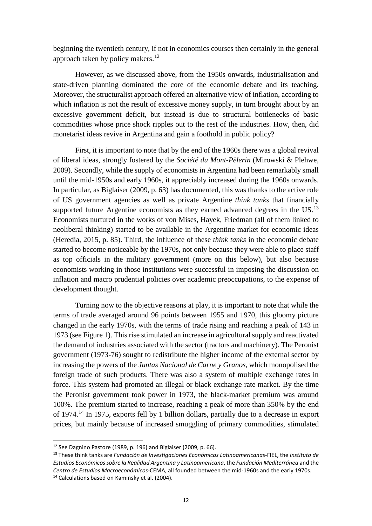beginning the twentieth century, if not in economics courses then certainly in the general approach taken by policy makers.<sup>[12](#page-12-0)</sup>

However, as we discussed above, from the 1950s onwards, industrialisation and state-driven planning dominated the core of the economic debate and its teaching. Moreover, the structuralist approach offered an alternative view of inflation, according to which inflation is not the result of excessive money supply, in turn brought about by an excessive government deficit, but instead is due to structural bottlenecks of basic commodities whose price shock ripples out to the rest of the industries. How, then, did monetarist ideas revive in Argentina and gain a foothold in public policy?

First, it is important to note that by the end of the 1960s there was a global revival of liberal ideas, strongly fostered by the *Société du Mont-Pèlerin* (Mirowski & Plehwe, 2009). Secondly, while the supply of economists in Argentina had been remarkably small until the mid-1950s and early 1960s, it appreciably increased during the 1960s onwards. In particular, as Biglaiser (2009, p. 63) has documented, this was thanks to the active role of US government agencies as well as private Argentine *think tanks* that financially supported future Argentine economists as they earned advanced degrees in the  $US$ .<sup>[13](#page-12-1)</sup> Economists nurtured in the works of von Mises, Hayek, Friedman (all of them linked to neoliberal thinking) started to be available in the Argentine market for economic ideas (Heredia, 2015, p. 85). Third, the influence of these *think tanks* in the economic debate started to become noticeable by the 1970s, not only because they were able to place staff as top officials in the military government (more on this below), but also because economists working in those institutions were successful in imposing the discussion on inflation and macro prudential policies over academic preoccupations, to the expense of development thought.

Turning now to the objective reasons at play, it is important to note that while the terms of trade averaged around 96 points between 1955 and 1970, this gloomy picture changed in the early 1970s, with the terms of trade rising and reaching a peak of 143 in 1973 (see Figure 1). This rise stimulated an increase in agricultural supply and reactivated the demand of industries associated with the sector (tractors and machinery). The Peronist government (1973-76) sought to redistribute the higher income of the external sector by increasing the powers of the *Juntas Nacional de Carne y Granos*, which monopolised the foreign trade of such products. There was also a system of multiple exchange rates in force. This system had promoted an illegal or black exchange rate market. By the time the Peronist government took power in 1973, the black-market premium was around 100%. The premium started to increase, reaching a peak of more than 350% by the end of 1974.[14](#page-12-2) In 1975, exports fell by 1 billion dollars, partially due to a decrease in export prices, but mainly because of increased smuggling of primary commodities, stimulated

<span id="page-12-2"></span>

<span id="page-12-1"></span><span id="page-12-0"></span><sup>&</sup>lt;sup>12</sup> See Dagnino Pastore (1989, p. 196) and Biglaiser (2009, p. 66).<br><sup>13</sup> These think tanks are *Fundación de Investigaciones Económicas Latinoamericanas-FIEL, the <i>Instituto de Estudios Económicos sobre la Realidad Argentina y Latinoamericana*, the *Fundación Mediterránea* and the *Centro de Estudios Macroeconómicos-*CEMA, all founded between the mid-1960s and the early 1970s. <sup>14</sup> Calculations based on Kaminsky et al. (2004).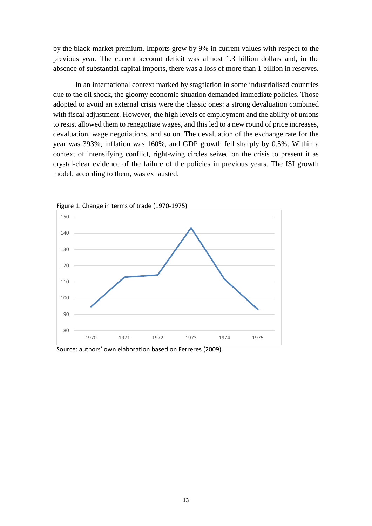by the black-market premium. Imports grew by 9% in current values with respect to the previous year. The current account deficit was almost 1.3 billion dollars and, in the absence of substantial capital imports, there was a loss of more than 1 billion in reserves.

In an international context marked by stagflation in some industrialised countries due to the oil shock, the gloomy economic situation demanded immediate policies. Those adopted to avoid an external crisis were the classic ones: a strong devaluation combined with fiscal adjustment. However, the high levels of employment and the ability of unions to resist allowed them to renegotiate wages, and this led to a new round of price increases, devaluation, wage negotiations, and so on. The devaluation of the exchange rate for the year was 393%, inflation was 160%, and GDP growth fell sharply by 0.5%. Within a context of intensifying conflict, right-wing circles seized on the crisis to present it as crystal-clear evidence of the failure of the policies in previous years. The ISI growth model, according to them, was exhausted.



Figure 1. Change in terms of trade (1970-1975)

Source: authors' own elaboration based on Ferreres (2009).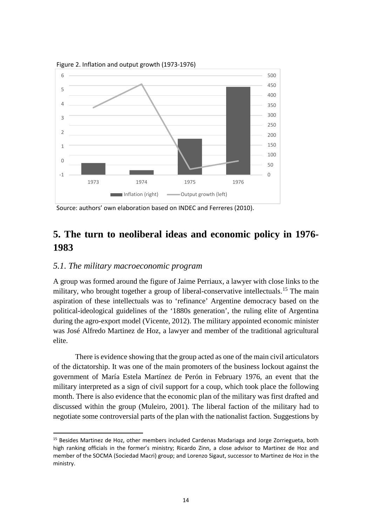

Figure 2. Inflation and output growth (1973-1976)

## **5. The turn to neoliberal ideas and economic policy in 1976- 1983**

#### *5.1. The military macroeconomic program*

**.** 

A group was formed around the figure of Jaime Perriaux, a lawyer with close links to the military, who brought together a group of liberal-conservative intellectuals.<sup>[15](#page-14-0)</sup> The main aspiration of these intellectuals was to 'refinance' Argentine democracy based on the political-ideological guidelines of the '1880s generation', the ruling elite of Argentina during the agro-export model (Vicente, 2012). The military appointed economic minister was José Alfredo Martinez de Hoz, a lawyer and member of the traditional agricultural elite.

There is evidence showing that the group acted as one of the main civil articulators of the dictatorship. It was one of the main promoters of the business lockout against the government of María Estela Martínez de Perón in February 1976, an event that the military interpreted as a sign of civil support for a coup, which took place the following month. There is also evidence that the economic plan of the military was first drafted and discussed within the group (Muleiro, 2001). The liberal faction of the military had to negotiate some controversial parts of the plan with the nationalist faction. Suggestions by

Source: authors' own elaboration based on INDEC and Ferreres (2010).

<span id="page-14-0"></span><sup>&</sup>lt;sup>15</sup> Besides Martinez de Hoz, other members included Cardenas Madariaga and Jorge Zorriegueta, both high ranking officials in the former's ministry; Ricardo Zinn, a close advisor to Martinez de Hoz and member of the SOCMA (Sociedad Macri) group; and Lorenzo Sigaut, successor to Martinez de Hoz in the ministry.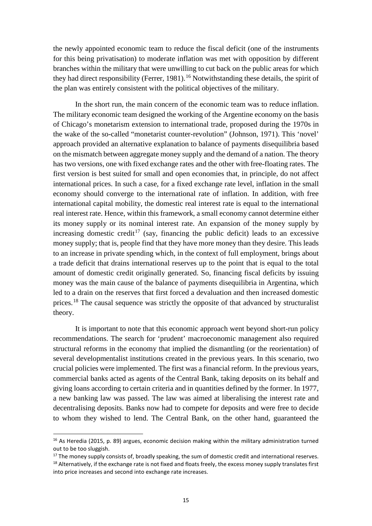the newly appointed economic team to reduce the fiscal deficit (one of the instruments for this being privatisation) to moderate inflation was met with opposition by different branches within the military that were unwilling to cut back on the public areas for which they had direct responsibility (Ferrer, 1981).<sup>[16](#page-15-0)</sup> Notwithstanding these details, the spirit of the plan was entirely consistent with the political objectives of the military.

In the short run, the main concern of the economic team was to reduce inflation. The military economic team designed the working of the Argentine economy on the basis of Chicago's monetarism extension to international trade, proposed during the 1970s in the wake of the so-called "monetarist counter-revolution" (Johnson, 1971). This 'novel' approach provided an alternative explanation to balance of payments disequilibria based on the mismatch between aggregate money supply and the demand of a nation. The theory has two versions, one with fixed exchange rates and the other with free-floating rates. The first version is best suited for small and open economies that, in principle, do not affect international prices. In such a case, for a fixed exchange rate level, inflation in the small economy should converge to the international rate of inflation. In addition, with free international capital mobility, the domestic real interest rate is equal to the international real interest rate. Hence, within this framework, a small economy cannot determine either its money supply or its nominal interest rate. An expansion of the money supply by increasing domestic credit<sup>[17](#page-15-1)</sup> (say, financing the public deficit) leads to an excessive money supply; that is, people find that they have more money than they desire. This leads to an increase in private spending which, in the context of full employment, brings about a trade deficit that drains international reserves up to the point that is equal to the total amount of domestic credit originally generated. So, financing fiscal deficits by issuing money was the main cause of the balance of payments disequilibria in Argentina, which led to a drain on the reserves that first forced a devaluation and then increased domestic prices.<sup>[18](#page-15-2)</sup> The causal sequence was strictly the opposite of that advanced by structuralist theory.

It is important to note that this economic approach went beyond short-run policy recommendations. The search for 'prudent' macroeconomic management also required structural reforms in the economy that implied the dismantling (or the reorientation) of several developmentalist institutions created in the previous years. In this scenario, two crucial policies were implemented. The first was a financial reform. In the previous years, commercial banks acted as agents of the Central Bank, taking deposits on its behalf and giving loans according to certain criteria and in quantities defined by the former. In 1977, a new banking law was passed. The law was aimed at liberalising the interest rate and decentralising deposits. Banks now had to compete for deposits and were free to decide to whom they wished to lend. The Central Bank, on the other hand, guaranteed the

 $\overline{a}$ 

<span id="page-15-0"></span> $16$  As Heredia (2015, p. 89) argues, economic decision making within the military administration turned out to be too sluggish.

<span id="page-15-2"></span><span id="page-15-1"></span><sup>&</sup>lt;sup>17</sup> The money supply consists of, broadly speaking, the sum of domestic credit and international reserves.  $18$  Alternatively, if the exchange rate is not fixed and floats freely, the excess money supply translates first into price increases and second into exchange rate increases.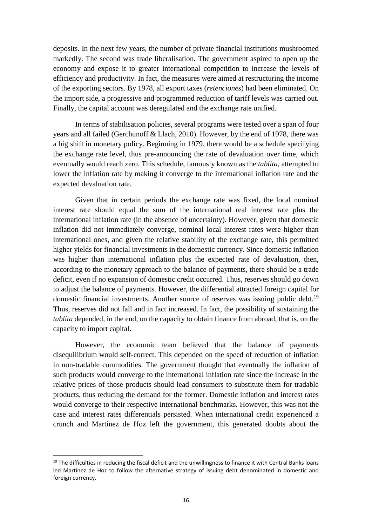deposits. In the next few years, the number of private financial institutions mushroomed markedly. The second was trade liberalisation. The government aspired to open up the economy and expose it to greater international competition to increase the levels of efficiency and productivity. In fact, the measures were aimed at restructuring the income of the exporting sectors. By 1978, all export taxes (*retenciones*) had been eliminated. On the import side, a progressive and programmed reduction of tariff levels was carried out. Finally, the capital account was deregulated and the exchange rate unified.

In terms of stabilisation policies, several programs were tested over a span of four years and all failed (Gerchunoff & Llach, 2010). However, by the end of 1978, there was a big shift in monetary policy. Beginning in 1979, there would be a schedule specifying the exchange rate level, thus pre-announcing the rate of devaluation over time, which eventually would reach zero. This schedule, famously known as the *tablita*, attempted to lower the inflation rate by making it converge to the international inflation rate and the expected devaluation rate.

Given that in certain periods the exchange rate was fixed, the local nominal interest rate should equal the sum of the international real interest rate plus the international inflation rate (in the absence of uncertainty). However, given that domestic inflation did not immediately converge, nominal local interest rates were higher than international ones, and given the relative stability of the exchange rate, this permitted higher yields for financial investments in the domestic currency. Since domestic inflation was higher than international inflation plus the expected rate of devaluation, then, according to the monetary approach to the balance of payments, there should be a trade deficit, even if no expansion of domestic credit occurred. Thus, reserves should go down to adjust the balance of payments. However, the differential attracted foreign capital for domestic financial investments. Another source of reserves was issuing public debt.<sup>[19](#page-16-0)</sup> Thus, reserves did not fall and in fact increased. In fact, the possibility of sustaining the *tablita* depended, in the end, on the capacity to obtain finance from abroad, that is, on the capacity to import capital.

However, the economic team believed that the balance of payments disequilibrium would self-correct. This depended on the speed of reduction of inflation in non-tradable commodities. The government thought that eventually the inflation of such products would converge to the international inflation rate since the increase in the relative prices of those products should lead consumers to substitute them for tradable products, thus reducing the demand for the former. Domestic inflation and interest rates would converge to their respective international benchmarks. However, this was not the case and interest rates differentials persisted. When international credit experienced a crunch and Martínez de Hoz left the government, this generated doubts about the

<span id="page-16-0"></span> $19$  The difficulties in reducing the fiscal deficit and the unwillingness to finance it with Central Banks loans led Martínez de Hoz to follow the alternative strategy of issuing debt denominated in domestic and foreign currency.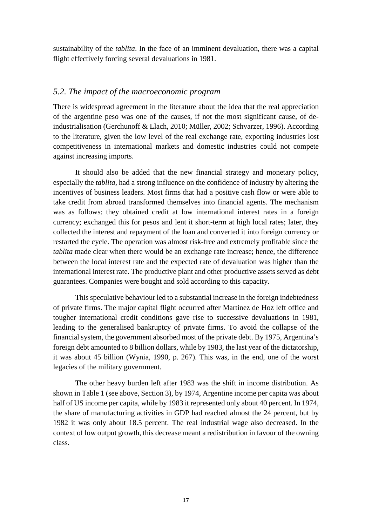sustainability of the *tablita*. In the face of an imminent devaluation, there was a capital flight effectively forcing several devaluations in 1981.

#### *5.2. The impact of the macroeconomic program*

There is widespread agreement in the literature about the idea that the real appreciation of the argentine peso was one of the causes, if not the most significant cause, of deindustrialisation (Gerchunoff & Llach, 2010; Müller, 2002; Schvarzer, 1996). According to the literature, given the low level of the real exchange rate, exporting industries lost competitiveness in international markets and domestic industries could not compete against increasing imports.

It should also be added that the new financial strategy and monetary policy, especially the *tablita*, had a strong influence on the confidence of industry by altering the incentives of business leaders. Most firms that had a positive cash flow or were able to take credit from abroad transformed themselves into financial agents. The mechanism was as follows: they obtained credit at low international interest rates in a foreign currency; exchanged this for pesos and lent it short-term at high local rates; later, they collected the interest and repayment of the loan and converted it into foreign currency or restarted the cycle. The operation was almost risk-free and extremely profitable since the *tablita* made clear when there would be an exchange rate increase; hence, the difference between the local interest rate and the expected rate of devaluation was higher than the international interest rate. The productive plant and other productive assets served as debt guarantees. Companies were bought and sold according to this capacity.

This speculative behaviour led to a substantial increase in the foreign indebtedness of private firms. The major capital flight occurred after Martinez de Hoz left office and tougher international credit conditions gave rise to successive devaluations in 1981, leading to the generalised bankruptcy of private firms. To avoid the collapse of the financial system, the government absorbed most of the private debt. By 1975, Argentina's foreign debt amounted to 8 billion dollars, while by 1983, the last year of the dictatorship, it was about 45 billion (Wynia, 1990, p. 267). This was, in the end, one of the worst legacies of the military government.

The other heavy burden left after 1983 was the shift in income distribution. As shown in Table 1 (see above, Section 3), by 1974, Argentine income per capita was about half of US income per capita, while by 1983 it represented only about 40 percent. In 1974, the share of manufacturing activities in GDP had reached almost the 24 percent, but by 1982 it was only about 18.5 percent. The real industrial wage also decreased. In the context of low output growth, this decrease meant a redistribution in favour of the owning class.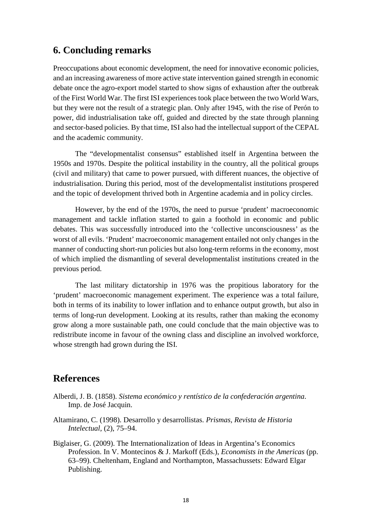## **6. Concluding remarks**

Preoccupations about economic development, the need for innovative economic policies, and an increasing awareness of more active state intervention gained strength in economic debate once the agro-export model started to show signs of exhaustion after the outbreak of the First World War. The first ISI experiences took place between the two World Wars, but they were not the result of a strategic plan. Only after 1945, with the rise of Perón to power, did industrialisation take off, guided and directed by the state through planning and sector-based policies. By that time, ISI also had the intellectual support of the CEPAL and the academic community.

The "developmentalist consensus" established itself in Argentina between the 1950s and 1970s. Despite the political instability in the country, all the political groups (civil and military) that came to power pursued, with different nuances, the objective of industrialisation. During this period, most of the developmentalist institutions prospered and the topic of development thrived both in Argentine academia and in policy circles.

However, by the end of the 1970s, the need to pursue 'prudent' macroeconomic management and tackle inflation started to gain a foothold in economic and public debates. This was successfully introduced into the 'collective unconsciousness' as the worst of all evils. 'Prudent' macroeconomic management entailed not only changes in the manner of conducting short-run policies but also long-term reforms in the economy, most of which implied the dismantling of several developmentalist institutions created in the previous period.

The last military dictatorship in 1976 was the propitious laboratory for the 'prudent' macroeconomic management experiment. The experience was a total failure, both in terms of its inability to lower inflation and to enhance output growth, but also in terms of long-run development. Looking at its results, rather than making the economy grow along a more sustainable path, one could conclude that the main objective was to redistribute income in favour of the owning class and discipline an involved workforce, whose strength had grown during the ISI.

## **References**

- Alberdi, J. B. (1858). *Sistema económico y rentístico de la confederación argentina*. Imp. de José Jacquin.
- Altamirano, C. (1998). Desarrollo y desarrollistas. *Prismas, Revista de Historia Intelectual*, (2), 75–94.
- Biglaiser, G. (2009). The Internationalization of Ideas in Argentina's Economics Profession. In V. Montecinos & J. Markoff (Eds.), *Economists in the Americas* (pp. 63–99). Cheltenham, England and Northampton, Massachussets: Edward Elgar Publishing.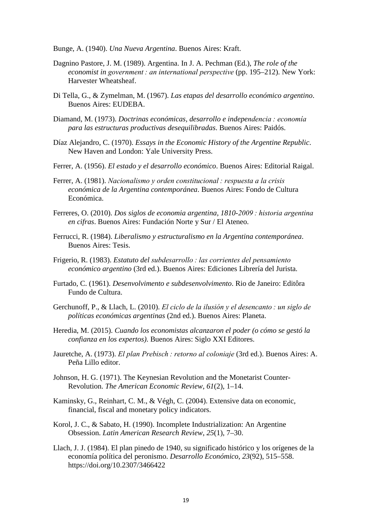Bunge, A. (1940). *Una Nueva Argentina*. Buenos Aires: Kraft.

- Dagnino Pastore, J. M. (1989). Argentina. In J. A. Pechman (Ed.), *The role of the economist in government : an international perspective* (pp. 195–212). New York: Harvester Wheatsheaf.
- Di Tella, G., & Zymelman, M. (1967). *Las etapas del desarrollo económico argentino*. Buenos Aires: EUDEBA.
- Diamand, M. (1973). *Doctrinas económicas, desarrollo e independencia : economía para las estructuras productivas desequilibradas*. Buenos Aires: Paidós.
- Díaz Alejandro, C. (1970). *Essays in the Economic History of the Argentine Republic*. New Haven and London: Yale University Press.
- Ferrer, A. (1956). *El estado y el desarrollo económico*. Buenos Aires: Editorial Raigal.
- Ferrer, A. (1981). *Nacionalismo y orden constitucional : respuesta a la crisis económica de la Argentina contemporánea*. Buenos Aires: Fondo de Cultura Económica.
- Ferreres, O. (2010). *Dos siglos de economia argentina, 1810-2009 : historia argentina en cifras*. Buenos Aires: Fundación Norte y Sur / El Ateneo.
- Ferrucci, R. (1984). *Liberalismo y estructuralismo en la Argentina contemporánea*. Buenos Aires: Tesis.
- Frigerio, R. (1983). *Estatuto del subdesarrollo : las corrientes del pensamiento económico argentino* (3rd ed.). Buenos Aires: Ediciones Librería del Jurista.
- Furtado, C. (1961). *Desenvolvimento e subdesenvolvimento*. Rio de Janeiro: Editôra Fundo de Cultura.
- Gerchunoff, P., & Llach, L. (2010). *El ciclo de la ilusión y el desencanto : un siglo de políticas económicas argentinas* (2nd ed.). Buenos Aires: Planeta.
- Heredia, M. (2015). *Cuando los economistas alcanzaron el poder (o cómo se gestó la confianza en los expertos)*. Buenos Aires: Siglo XXI Editores.
- Jauretche, A. (1973). *El plan Prebisch : retorno al coloniaje* (3rd ed.). Buenos Aires: A. Peña Lillo editor.
- Johnson, H. G. (1971). The Keynesian Revolution and the Monetarist Counter-Revolution. *The American Economic Review*, *61*(2), 1–14.
- Kaminsky, G., Reinhart, C. M., & Végh, C. (2004). Extensive data on economic, financial, fiscal and monetary policy indicators.
- Korol, J. C., & Sabato, H. (1990). Incomplete Industrialization: An Argentine Obsession. *Latin American Research Review*, *25*(1), 7–30.
- Llach, J. J. (1984). El plan pinedo de 1940, su significado histórico y los orígenes de la economía política del peronismo. *Desarrollo Económico*, *23*(92), 515–558. https://doi.org/10.2307/3466422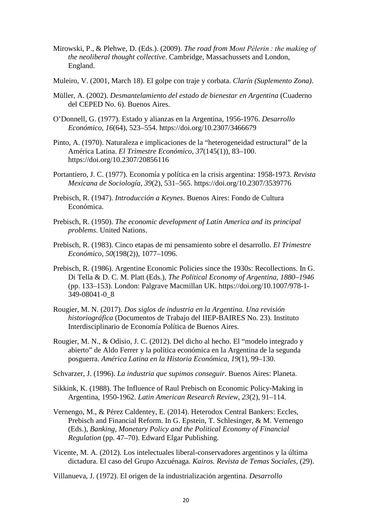- Mirowski, P., & Plehwe, D. (Eds.). (2009). *The road from Mont Pèlerin : the making of the neoliberal thought collective*. Cambridge, Massachussets and London, England.
- Muleiro, V. (2001, March 18). El golpe con traje y corbata. *Clarín (Suplemento Zona)*.
- Müller, A. (2002). *Desmantelamiento del estado de bienestar en Argentina* (Cuaderno del CEPED No. 6). Buenos Aires.
- O'Donnell, G. (1977). Estado y alianzas en la Argentina, 1956-1976. *Desarrollo Económico*, *16*(64), 523–554. https://doi.org/10.2307/3466679
- Pinto, A. (1970). Naturaleza e implicaciones de la "heterogeneidad estructural" de la América Latina. *El Trimestre Económico*, *37*(145(1)), 83–100. https://doi.org/10.2307/20856116
- Portantiero, J. C. (1977). Economía y política en la crisis argentina: 1958-1973. *Revista Mexicana de Sociología*, *39*(2), 531–565. https://doi.org/10.2307/3539776
- Prebisch, R. (1947). *Introducción a Keynes*. Buenos Aires: Fondo de Cultura Económica.
- Prebisch, R. (1950). *The economic development of Latin America and its principal problems*. United Nations.
- Prebisch, R. (1983). Cinco etapas de mi pensamiento sobre el desarrollo. *El Trimestre Económico*, *50*(198(2)), 1077–1096.
- Prebisch, R. (1986). Argentine Economic Policies since the 1930s: Recollections. In G. Di Tella & D. C. M. Platt (Eds.), *The Political Economy of Argentina, 1880–1946* (pp. 133–153). London: Palgrave Macmillan UK. https://doi.org/10.1007/978-1- 349-08041-0\_8
- Rougier, M. N. (2017). *Dos siglos de industria en la Argentina. Una revisión historiográfica* (Documentos de Trabajo del IIEP-BAIRES No. 23). Instituto Interdisciplinario de Economía Política de Buenos Aires.
- Rougier, M. N., & Odisio, J. C. (2012). Del dicho al hecho. El "modelo integrado y abierto" de Aldo Ferrer y la política económica en la Argentina de la segunda posguerra. *América Latina en la Historia Económica*, *19*(1), 99–130.
- Schvarzer, J. (1996). *La industria que supimos conseguir*. Buenos Aires: Planeta.
- Sikkink, K. (1988). The Influence of Raul Prebisch on Economic Policy-Making in Argentina, 1950-1962. *Latin American Research Review*, *23*(2), 91–114.
- Vernengo, M., & Pérez Caldentey, E. (2014). Heterodox Central Bankers: Eccles, Prebisch and Financial Reform. In G. Epstein, T. Schlesinger, & M. Vernengo (Eds.), *Banking, Monetary Policy and the Political Economy of Financial Regulation* (pp. 47–70). Edward Elgar Publishing.
- Vicente, M. A. (2012). Los intelectuales liberal-conservadores argentinos y la última dictadura. El caso del Grupo Azcuénaga. *Kairos. Revista de Temas Sociales*, (29).

Villanueva, J. (1972). El origen de la industrialización argentina. *Desarrollo*